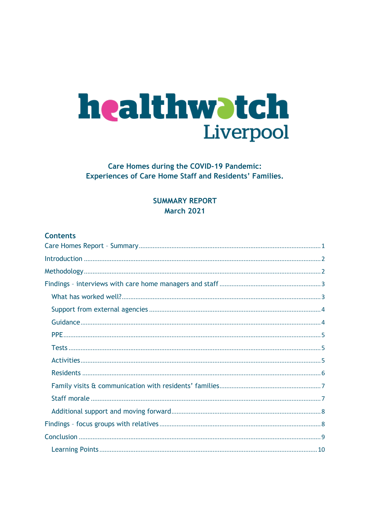# healthwatch Liverpool

# **Care Homes during the COVID-19 Pandemic: Experiences of Care Home Staff and Residents' Families.**

# <span id="page-0-0"></span>**SUMMARY REPORT March 2021**

# **Contents**

<span id="page-0-1"></span>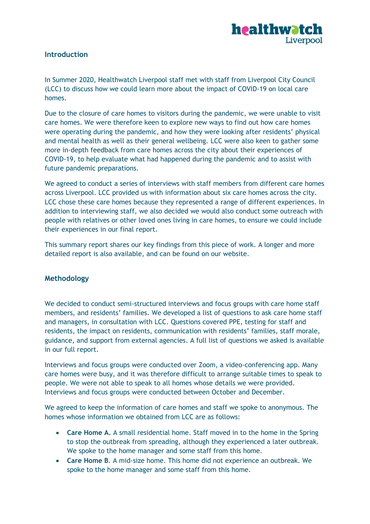

# **Introduction**

In Summer 2020, Healthwatch Liverpool staff met with staff from Liverpool City Council (LCC) to discuss how we could learn more about the impact of COVID-19 on local care homes.

Due to the closure of care homes to visitors during the pandemic, we were unable to visit care homes. We were therefore keen to explore new ways to find out how care homes were operating during the pandemic, and how they were looking after residents' physical and mental health as well as their general wellbeing. LCC were also keen to gather some more in-depth feedback from care homes across the city about their experiences of COVID-19, to help evaluate what had happened during the pandemic and to assist with future pandemic preparations.

We agreed to conduct a series of interviews with staff members from different care homes across Liverpool. LCC provided us with information about six care homes across the city. LCC chose these care homes because they represented a range of different experiences. In addition to interviewing staff, we also decided we would also conduct some outreach with people with relatives or other loved ones living in care homes, to ensure we could include their experiences in our final report.

This summary report shares our key findings from this piece of work. A longer and more detailed report is also available, and can be found on our website.

#### <span id="page-1-0"></span>**Methodology**

We decided to conduct semi-structured interviews and focus groups with care home staff members, and residents' families. We developed a list of questions to ask care home staff and managers, in consultation with LCC. Questions covered PPE, testing for staff and residents, the impact on residents, communication with residents' families, staff morale, guidance, and support from external agencies. A full list of questions we asked is available in our full report.

Interviews and focus groups were conducted over Zoom, a video-conferencing app. Many care homes were busy, and it was therefore difficult to arrange suitable times to speak to people. We were not able to speak to all homes whose details we were provided. Interviews and focus groups were conducted between October and December.

We agreed to keep the information of care homes and staff we spoke to anonymous. The homes whose information we obtained from LCC are as follows:

- **Care Home A.** A small residential home. Staff moved in to the home in the Spring to stop the outbreak from spreading, although they experienced a later outbreak. We spoke to the home manager and some staff from this home.
- **Care Home B**. A mid-size home. This home did not experience an outbreak. We spoke to the home manager and some staff from this home.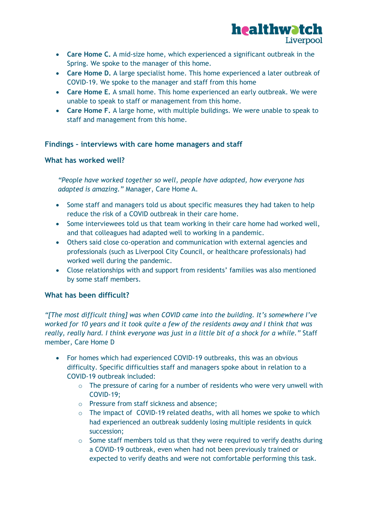

- **Care Home C.** A mid-size home, which experienced a significant outbreak in the Spring. We spoke to the manager of this home.
- **Care Home D.** A large specialist home. This home experienced a later outbreak of COVID-19. We spoke to the manager and staff from this home
- **Care Home E.** A small home. This home experienced an early outbreak. We were unable to speak to staff or management from this home.
- **Care Home F.** A large home, with multiple buildings. We were unable to speak to staff and management from this home.

# <span id="page-2-0"></span>**Findings – interviews with care home managers and staff**

#### <span id="page-2-1"></span>**What has worked well?**

*"People have worked together so well, people have adapted, how everyone has adapted is amazing."* Manager, Care Home A.

- Some staff and managers told us about specific measures they had taken to help reduce the risk of a COVID outbreak in their care home.
- Some interviewees told us that team working in their care home had worked well, and that colleagues had adapted well to working in a pandemic.
- Others said close co-operation and communication with external agencies and professionals (such as Liverpool City Council, or healthcare professionals) had worked well during the pandemic.
- Close relationships with and support from residents' families was also mentioned by some staff members.

# **What has been difficult?**

*"[The most difficult thing] was when COVID came into the building. It's somewhere I've worked for 10 years and it took quite a few of the residents away and I think that was really, really hard. I think everyone was just in a little bit of a shock for a while."* Staff member, Care Home D

- For homes which had experienced COVID-19 outbreaks, this was an obvious difficulty. Specific difficulties staff and managers spoke about in relation to a COVID-19 outbreak included:
	- $\circ$  The pressure of caring for a number of residents who were very unwell with COVID-19;
	- o Pressure from staff sickness and absence;
	- o The impact of COVID-19 related deaths, with all homes we spoke to which had experienced an outbreak suddenly losing multiple residents in quick succession;
	- $\circ$  Some staff members told us that they were required to verify deaths during a COVID-19 outbreak, even when had not been previously trained or expected to verify deaths and were not comfortable performing this task.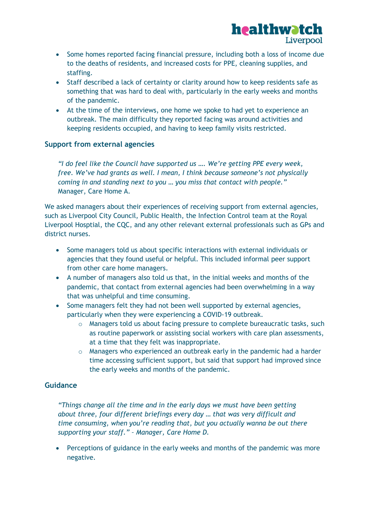

- Some homes reported facing financial pressure, including both a loss of income due to the deaths of residents, and increased costs for PPE, cleaning supplies, and staffing.
- Staff described a lack of certainty or clarity around how to keep residents safe as something that was hard to deal with, particularly in the early weeks and months of the pandemic.
- At the time of the interviews, one home we spoke to had yet to experience an outbreak. The main difficulty they reported facing was around activities and keeping residents occupied, and having to keep family visits restricted.

#### <span id="page-3-0"></span>**Support from external agencies**

*"I do feel like the Council have supported us …. We're getting PPE every week, free. We've had grants as well. I mean, I think because someone's not physically coming in and standing next to you … you miss that contact with people."* Manager, Care Home A.

We asked managers about their experiences of receiving support from external agencies, such as Liverpool City Council, Public Health, the Infection Control team at the Royal Liverpool Hosptial, the CQC, and any other relevant external professionals such as GPs and district nurses.

- Some managers told us about specific interactions with external individuals or agencies that they found useful or helpful. This included informal peer support from other care home managers.
- A number of managers also told us that, in the initial weeks and months of the pandemic, that contact from external agencies had been overwhelming in a way that was unhelpful and time consuming.
- Some managers felt they had not been well supported by external agencies, particularly when they were experiencing a COVID-19 outbreak.
	- o Managers told us about facing pressure to complete bureaucratic tasks, such as routine paperwork or assisting social workers with care plan assessments, at a time that they felt was inappropriate.
	- o Managers who experienced an outbreak early in the pandemic had a harder time accessing sufficient support, but said that support had improved since the early weeks and months of the pandemic.

#### <span id="page-3-1"></span>**Guidance**

*"Things change all the time and in the early days we must have been getting about three, four different briefings every day … that was very difficult and time consuming, when you're reading that, but you actually wanna be out there supporting your staff." – Manager, Care Home D.*

• Perceptions of guidance in the early weeks and months of the pandemic was more negative.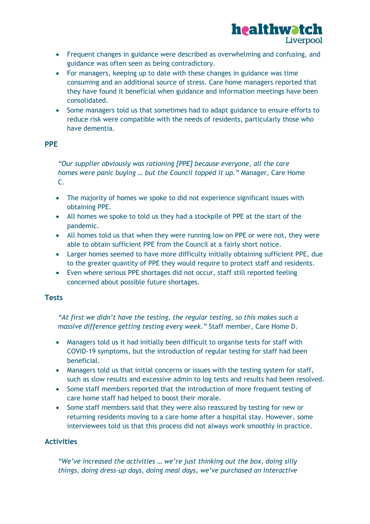

- Frequent changes in guidance were described as overwhelming and confusing, and guidance was often seen as being contradictory.
- For managers, keeping up to date with these changes in guidance was time consuming and an additional source of stress. Care home managers reported that they have found it beneficial when guidance and information meetings have been consolidated.
- Some managers told us that sometimes had to adapt guidance to ensure efforts to reduce risk were compatible with the needs of residents, particularly those who have dementia.

### <span id="page-4-0"></span>**PPE**

*"Our supplier obviously was rationing [PPE] because everyone, all the care homes were panic buying … but the Council topped it up."* Manager, Care Home C.

- The majority of homes we spoke to did not experience significant issues with obtaining PPE.
- All homes we spoke to told us they had a stockpile of PPE at the start of the pandemic.
- All homes told us that when they were running low on PPE or were not, they were able to obtain sufficient PPE from the Council at a fairly short notice.
- Larger homes seemed to have more difficulty initially obtaining sufficient PPE, due to the greater quantity of PPE they would require to protect staff and residents.
- Even where serious PPE shortages did not occur, staff still reported feeling concerned about possible future shortages.

# <span id="page-4-1"></span>**Tests**

*"At first we didn't have the testing, the regular testing, so this makes such a massive difference getting testing every week."* Staff member, Care Home D.

- Managers told us it had initially been difficult to organise tests for staff with COVID-19 symptoms, but the introduction of regular testing for staff had been beneficial.
- Managers told us that initial concerns or issues with the testing system for staff, such as slow results and excessive admin to log tests and results had been resolved.
- Some staff members reported that the introduction of more frequent testing of care home staff had helped to boost their morale.
- Some staff members said that they were also reassured by testing for new or returning residents moving to a care home after a hospital stay. However, some interviewees told us that this process did not always work smoothly in practice.

# <span id="page-4-2"></span>**Activities**

*"We've increased the activities … we're just thinking out the box, doing silly things, doing dress-up days, doing meal days, we've purchased an interactive*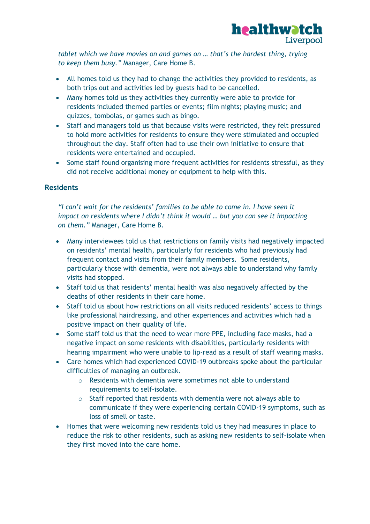

*tablet which we have movies on and games on … that's the hardest thing, trying to keep them busy."* Manager, Care Home B.

- All homes told us they had to change the activities they provided to residents, as both trips out and activities led by guests had to be cancelled.
- Many homes told us they activities they currently were able to provide for residents included themed parties or events; film nights; playing music; and quizzes, tombolas, or games such as bingo.
- Staff and managers told us that because visits were restricted, they felt pressured to hold more activities for residents to ensure they were stimulated and occupied throughout the day. Staff often had to use their own initiative to ensure that residents were entertained and occupied.
- Some staff found organising more frequent activities for residents stressful, as they did not receive additional money or equipment to help with this.

#### <span id="page-5-0"></span>**Residents**

*"I can't wait for the residents' families to be able to come in. I have seen it impact on residents where I didn't think it would ... but you can see it impacting on them."* Manager, Care Home B.

- Many interviewees told us that restrictions on family visits had negatively impacted on residents' mental health, particularly for residents who had previously had frequent contact and visits from their family members. Some residents, particularly those with dementia, were not always able to understand why family visits had stopped.
- Staff told us that residents' mental health was also negatively affected by the deaths of other residents in their care home.
- Staff told us about how restrictions on all visits reduced residents' access to things like professional hairdressing, and other experiences and activities which had a positive impact on their quality of life.
- Some staff told us that the need to wear more PPE, including face masks, had a negative impact on some residents with disabilities, particularly residents with hearing impairment who were unable to lip-read as a result of staff wearing masks.
- Care homes which had experienced COVID-19 outbreaks spoke about the particular difficulties of managing an outbreak.
	- o Residents with dementia were sometimes not able to understand requirements to self-isolate.
	- o Staff reported that residents with dementia were not always able to communicate if they were experiencing certain COVID-19 symptoms, such as loss of smell or taste.
- Homes that were welcoming new residents told us they had measures in place to reduce the risk to other residents, such as asking new residents to self-isolate when they first moved into the care home.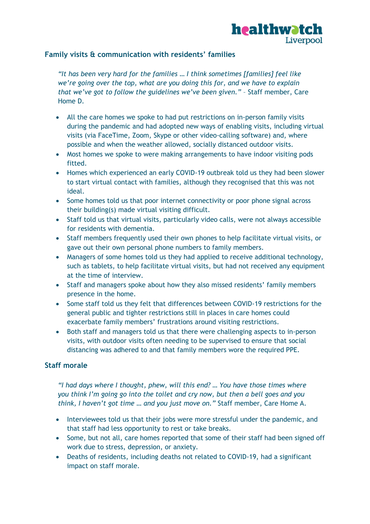

# <span id="page-6-0"></span>**Family visits & communication with residents' families**

*"It has been very hard for the families … I think sometimes [families] feel like we're going over the top, what are you doing this for, and we have to explain that we've got to follow the guidelines we've been given."* – Staff member, Care Home D.

- All the care homes we spoke to had put restrictions on in-person family visits during the pandemic and had adopted new ways of enabling visits, including virtual visits (via FaceTime, Zoom, Skype or other video-calling software) and, where possible and when the weather allowed, socially distanced outdoor visits.
- Most homes we spoke to were making arrangements to have indoor visiting pods fitted.
- Homes which experienced an early COVID-19 outbreak told us they had been slower to start virtual contact with families, although they recognised that this was not ideal.
- Some homes told us that poor internet connectivity or poor phone signal across their building(s) made virtual visiting difficult.
- Staff told us that virtual visits, particularly video calls, were not always accessible for residents with dementia.
- Staff members frequently used their own phones to help facilitate virtual visits, or gave out their own personal phone numbers to family members.
- Managers of some homes told us they had applied to receive additional technology, such as tablets, to help facilitate virtual visits, but had not received any equipment at the time of interview.
- Staff and managers spoke about how they also missed residents' family members presence in the home.
- Some staff told us they felt that differences between COVID-19 restrictions for the general public and tighter restrictions still in places in care homes could exacerbate family members' frustrations around visiting restrictions.
- Both staff and managers told us that there were challenging aspects to in-person visits, with outdoor visits often needing to be supervised to ensure that social distancing was adhered to and that family members wore the required PPE.

# <span id="page-6-1"></span>**Staff morale**

*"I had days where I thought, phew, will this end? … You have those times where you think I'm going go into the toilet and cry now, but then a bell goes and you think, I haven't got time … and you just move on."* Staff member, Care Home A.

- Interviewees told us that their jobs were more stressful under the pandemic, and that staff had less opportunity to rest or take breaks.
- Some, but not all, care homes reported that some of their staff had been signed off work due to stress, depression, or anxiety.
- Deaths of residents, including deaths not related to COVID-19, had a significant impact on staff morale.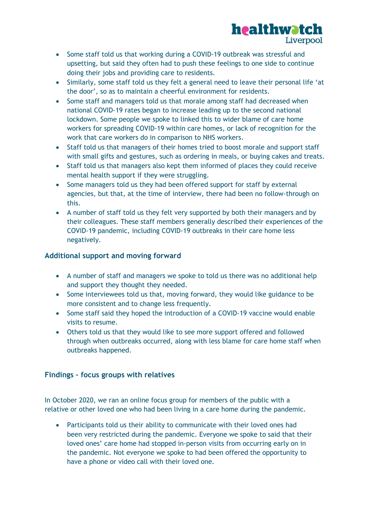

- Some staff told us that working during a COVID-19 outbreak was stressful and upsetting, but said they often had to push these feelings to one side to continue doing their jobs and providing care to residents.
- Similarly, some staff told us they felt a general need to leave their personal life 'at the door', so as to maintain a cheerful environment for residents.
- Some staff and managers told us that morale among staff had decreased when national COVID-19 rates began to increase leading up to the second national lockdown. Some people we spoke to linked this to wider blame of care home workers for spreading COVID-19 within care homes, or lack of recognition for the work that care workers do in comparison to NHS workers.
- Staff told us that managers of their homes tried to boost morale and support staff with small gifts and gestures, such as ordering in meals, or buying cakes and treats.
- Staff told us that managers also kept them informed of places they could receive mental health support if they were struggling.
- Some managers told us they had been offered support for staff by external agencies, but that, at the time of interview, there had been no follow-through on this.
- A number of staff told us they felt very supported by both their managers and by their colleagues. These staff members generally described their experiences of the COVID-19 pandemic, including COVID-19 outbreaks in their care home less negatively.

# <span id="page-7-0"></span>**Additional support and moving forward**

- A number of staff and managers we spoke to told us there was no additional help and support they thought they needed.
- Some interviewees told us that, moving forward, they would like guidance to be more consistent and to change less frequently.
- Some staff said they hoped the introduction of a COVID-19 vaccine would enable visits to resume.
- Others told us that they would like to see more support offered and followed through when outbreaks occurred, along with less blame for care home staff when outbreaks happened.

# <span id="page-7-1"></span>**Findings – focus groups with relatives**

In October 2020, we ran an online focus group for members of the public with a relative or other loved one who had been living in a care home during the pandemic.

 Participants told us their ability to communicate with their loved ones had been very restricted during the pandemic. Everyone we spoke to said that their loved ones' care home had stopped in-person visits from occurring early on in the pandemic. Not everyone we spoke to had been offered the opportunity to have a phone or video call with their loved one.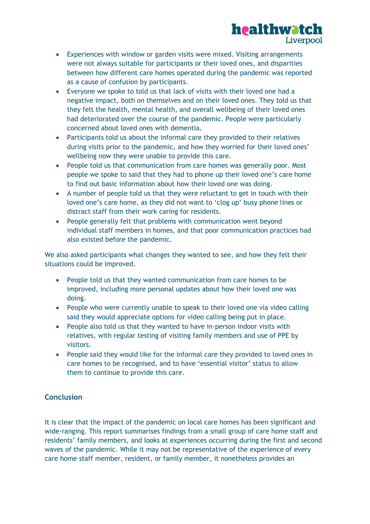

- Experiences with window or garden visits were mixed. Visiting arrangements were not always suitable for participants or their loved ones, and disparities between how different care homes operated during the pandemic was reported as a cause of confusion by participants.
- Everyone we spoke to told us that lack of visits with their loved one had a negative impact, both on themselves and on their loved ones. They told us that they felt the health, mental health, and overall wellbeing of their loved ones had deteriorated over the course of the pandemic. People were particularly concerned about loved ones with dementia.
- Participants told us about the informal care they provided to their relatives during visits prior to the pandemic, and how they worried for their loved ones' wellbeing now they were unable to provide this care.
- People told us that communication from care homes was generally poor. Most people we spoke to said that they had to phone up their loved one's care home to find out basic information about how their loved one was doing.
- A number of people told us that they were reluctant to get in touch with their loved one's care home, as they did not want to 'clog up' busy phone lines or distract staff from their work caring for residents.
- People generally felt that problems with communication went beyond individual staff members in homes, and that poor communication practices had also existed before the pandemic.

We also asked participants what changes they wanted to see, and how they felt their situations could be improved.

- People told us that they wanted communication from care homes to be improved, including more personal updates about how their loved one was doing.
- People who were currently unable to speak to their loved one via video calling said they would appreciate options for video calling being put in place.
- People also told us that they wanted to have in-person indoor visits with relatives, with regular testing of visiting family members and use of PPE by visitors.
- People said they would like for the informal care they provided to loved ones in care homes to be recognised, and to have 'essential visitor' status to allow them to continue to provide this care.

# <span id="page-8-0"></span>**Conclusion**

It is clear that the impact of the pandemic on local care homes has been significant and wide-ranging. This report summarises findings from a small group of care home staff and residents' family members, and looks at experiences occurring during the first and second waves of the pandemic. While it may not be representative of the experience of every care home staff member, resident, or family member, it nonetheless provides an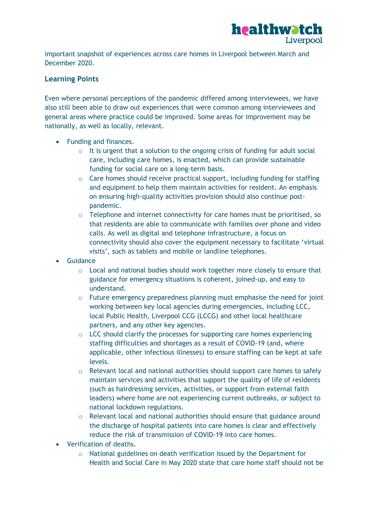

important snapshot of experiences across care homes in Liverpool between March and December 2020.

# <span id="page-9-0"></span>**Learning Points**

Even where personal perceptions of the pandemic differed among interviewees, we have also still been able to draw out experiences that were common among interviewees and general areas where practice could be improved. Some areas for improvement may be nationally, as well as locally, relevant.

- Funding and finances.
	- $\circ$  It is urgent that a solution to the ongoing crisis of funding for adult social care, including care homes, is enacted, which can provide sustainable funding for social care on a long-term basis.
	- o Care homes should receive practical support, including funding for staffing and equipment to help them maintain activities for resident. An emphasis on ensuring high-quality activities provision should also continue postpandemic.
	- $\circ$  Telephone and internet connectivity for care homes must be prioritised, so that residents are able to communicate with families over phone and video calls. As well as digital and telephone infrastructure, a focus on connectivity should also cover the equipment necessary to facilitate 'virtual visits', such as tablets and mobile or landline telephones.
- **•** Guidance
	- $\circ$  Local and national bodies should work together more closely to ensure that guidance for emergency situations is coherent, joined-up, and easy to understand.
	- $\circ$  Future emergency preparedness planning must emphasise the need for joint working between key local agencies during emergencies, including LCC, local Public Health, Liverpool CCG (LCCG) and other local healthcare partners, and any other key agencies.
	- o LCC should clarify the processes for supporting care homes experiencing staffing difficulties and shortages as a result of COVID-19 (and, where applicable, other infectious illnesses) to ensure staffing can be kept at safe levels.
	- o Relevant local and national authorities should support care homes to safely maintain services and activities that support the quality of life of residents (such as hairdressing services, activities, or support from external faith leaders) where home are not experiencing current outbreaks, or subject to national lockdown regulations.
	- o Relevant local and national authorities should ensure that guidance around the discharge of hospital patients into care homes is clear and effectively reduce the risk of transmission of COVID-19 into care homes.
- Verification of deaths.
	- o National guidelines on death verification issued by the Department for Health and Social Care in May 2020 state that care home staff should not be